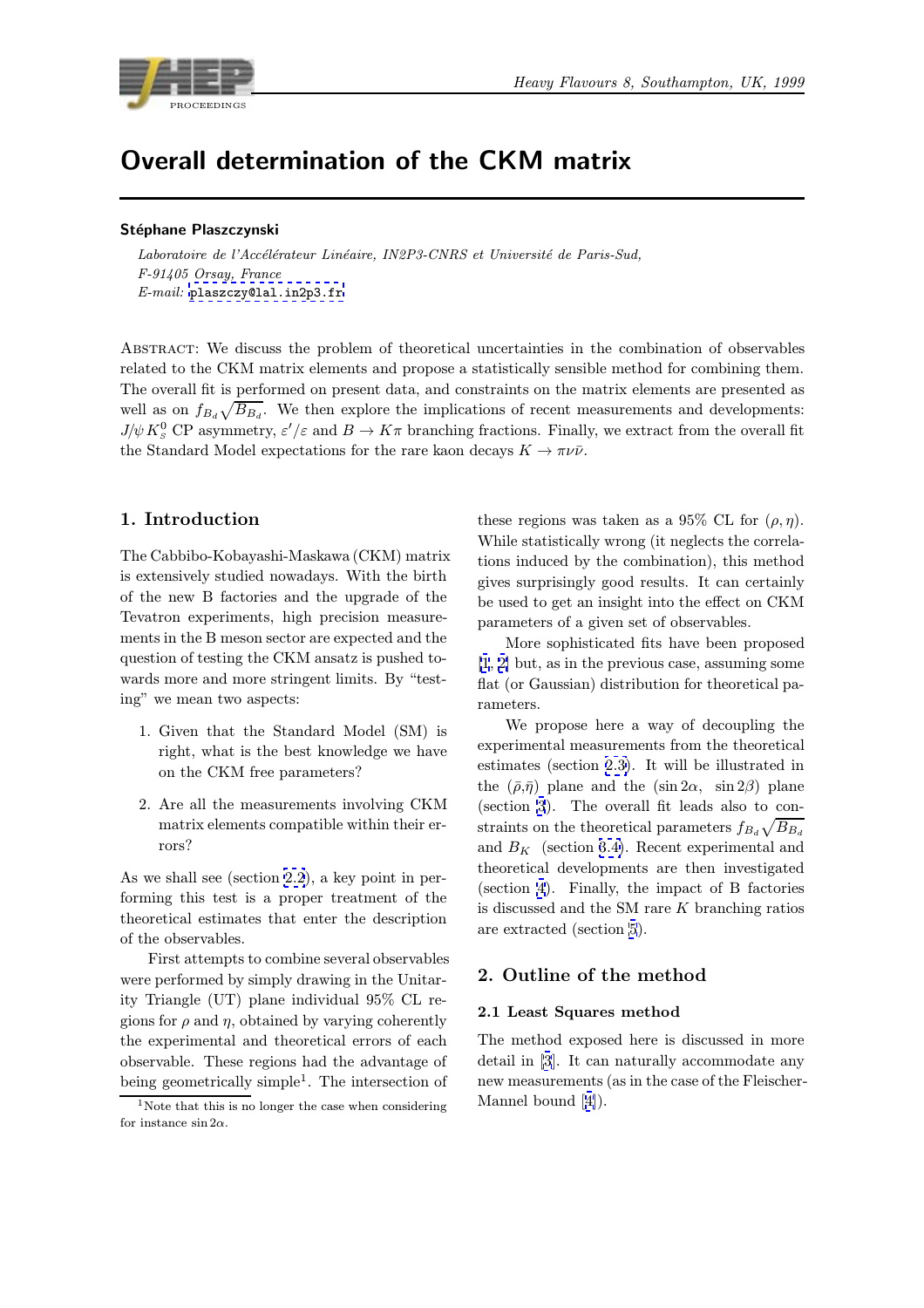

# Overall determination of the CKM matrix

## Stéphane Plaszczynski

Laboratoire de l'Accélérateur Linéaire, IN2P3-CNRS et Université de Paris-Sud, F-91405 Orsay, France E-mail: plaszczy@lal.in2p3.fr

Abstract: We discuss the problem of theoretical uncertainties in the combination of observables related to [the CKM matrix eleme](mailto:plaszczy@lal.in2p3.fr)nts and propose a statistically sensible method for combining them. The overall fit is performed on present data, and constraints on the matrix elements are presented as well as on  $f_{B_d} \sqrt{B_{B_d}}$ . We then explore the implications of recent measurements and developments:  $J/\psi K^0_S$  CP asymmetry,  $\varepsilon'/\varepsilon$  and  $B \to K\pi$  branching fractions. Finally, we extract from the overall fit the Standard Model expectations for the rare kaon decays  $K \to \pi \nu \bar{\nu}$ .

# 1. Introduction

The Cabbibo-Kobayashi-Maskawa (CKM) matrix is extensively studied nowadays. With the birth of the new B factories and the upgrade of the Tevatron experiments, high precision measurements in the B meson sector are expected and the question of testing the CKM ansatz is pushed towards more and more stringent limits. By "testing" we mean two aspects:

- 1. Given that the Standard Model (SM) is right, what is the best knowledge we have on the CKM free parameters?
- 2. Are all the measurements involving CKM matrix elements compatible within their errors?

As we shall see (section 2.2), a key point in performing this test is a proper treatment of the theoretical estimates that enter the description of the observables.

First attempts to co[mbi](#page-1-0)ne several observables were performed by simply drawing in the Unitarity Triangle (UT) plane individual 95% CL regions for  $\rho$  and  $\eta$ , obtained by varying coherently the experimental and theoretical errors of each observable. These regions had the advantage of being geometrically simple<sup>1</sup>. The intersection of

these regions was taken as a 95% CL for  $(\rho, \eta)$ . While statistically wrong (it neglects the correlations induced by the combination), this method gives surprisingly good results. It can certainly be used to get an insight into the effect on CKM parameters of a given set of observables.

More sophisticated fits have been proposed [1, 2] but, as in the previous case, assuming some flat (or Gaussian) distribution for theoretical parameters.

We propose here a way of decoupling the [expe](#page-7-0)rimental measurements from the theoretical estimates (section 2.3). It will be illustrated in the  $(\bar{\rho}, \bar{\eta})$  plane and the  $(\sin 2\alpha, \sin 2\beta)$  plane (section 3). The overall fit leads also to constraints on the theoretical parameters  $f_{B_d} \sqrt{B_{B_d}}$ and  $B_K$  (section [3.4\).](#page-1-0) Recent experimental and theoretical developments are then investigated (section [4](#page-2-0)). Finally, the impact of B factories is discussed and the SM rare  $K$  branching ratios are extracted (sec[tion](#page-4-0) 5).

## 2. Ou[tli](#page-4-0)ne of the method

### 2.1 Least Squares [me](#page-6-0)thod

The method exposed here is discussed in more detail in [3]. It can naturally accommodate any new measurements (as in the case of the Fleischer-Mannel bound [4]).

<sup>&</sup>lt;sup>1</sup>Note that this is no longer the case when considering for instance  $\sin 2\alpha$ .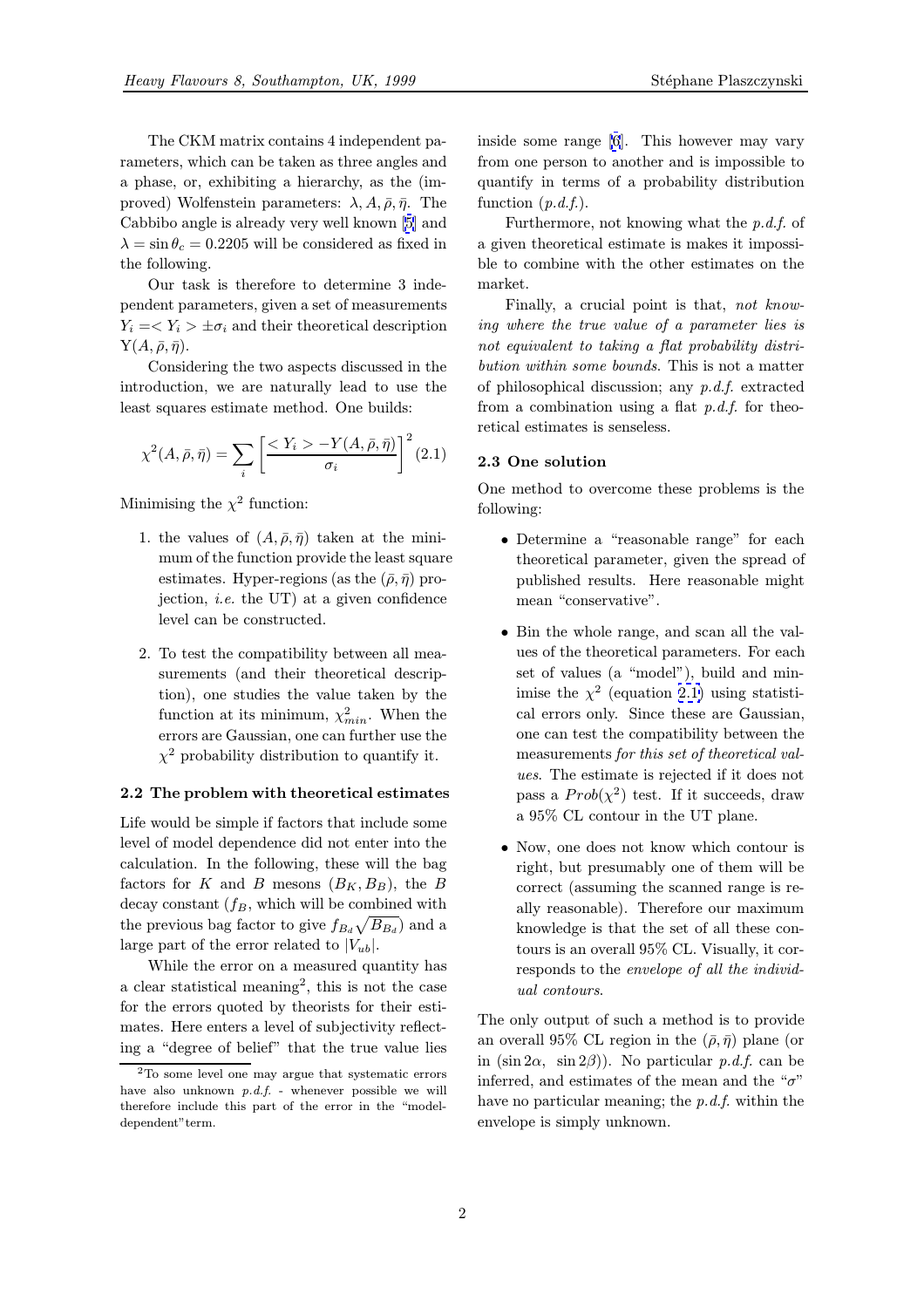<span id="page-1-0"></span>The CKM matrix contains 4 independent parameters, which can be taken as three angles and a phase, or, exhibiting a hierarchy, as the (improved) Wolfenstein parameters:  $\lambda, A, \bar{\rho}, \bar{\eta}$ . The Cabbibo angle is already very well known [5] and  $\lambda = \sin \theta_c = 0.2205$  will be considered as fixed in the following.

Our task is therefore to determine 3 independent parameters, given a set of measur[em](#page-7-0)ents  $Y_i = \langle Y_i \rangle \pm \sigma_i$  and their theoretical description  $Y(A,\bar{\rho},\bar{\eta}).$ 

Considering the two aspects discussed in the introduction, we are naturally lead to use the least squares estimate method. One builds:

$$
\chi^2(A,\bar{\rho},\bar{\eta}) = \sum_{i} \left[ \frac{\langle Y_i \rangle - Y(A,\bar{\rho},\bar{\eta})}{\sigma_i} \right]^2 (2.1)
$$

Minimising the  $\chi^2$  function:

- 1. the values of  $(A, \bar{\rho}, \bar{\eta})$  taken at the minimum of the function provide the least square estimates. Hyper-regions (as the  $(\bar{\rho}, \bar{\eta})$  projection, *i.e.* the UT) at a given confidence level can be constructed.
- 2. To test the compatibility between all measurements (and their theoretical description), one studies the value taken by the function at its minimum,  $\chi^2_{min}$ . When the errors are Gaussian, one can further use the  $\chi^2$  probability distribution to quantify it.

### 2.2 The problem with theoretical estimates

Life would be simple if factors that include some level of model dependence did not enter into the calculation. In the following, these will the bag factors for K and B mesons  $(B_K, B_B)$ , the B decay constant  $(f_B,$  which will be combined with the previous bag factor to give  $f_{B_d} \sqrt{B_{B_d}}$  and a large part of the error related to  $|V_{ub}|$ .

While the error on a measured quantity has a clear statistical meaning<sup>2</sup>, this is not the case for the errors quoted by theorists for their estimates. Here enters a level of subjectivity reflecting a "degree of belief" that the true value lies inside some range [6]. This however may vary from one person to another and is impossible to quantify in terms of a probability distribution function  $(p.d.f.).$ 

Furthermore, n[ot](#page-7-0) knowing what the p.d.f. of a given theoretical estimate is makes it impossible to combine with the other estimates on the market.

Finally, a crucial point is that, not knowing where the true value of a parameter lies is not equivalent to taking a flat probability distribution within some bounds. This is not a matter of philosophical discussion; any  $p.d.f.$  extracted from a combination using a flat  $p.d.f.$  for theoretical estimates is senseless.

### 2.3 One solution

One method to overcome these problems is the following:

- Determine a "reasonable range" for each theoretical parameter, given the spread of published results. Here reasonable might mean "conservative".
- Bin the whole range, and scan all the values of the theoretical parameters. For each set of values (a "model"), build and minimise the  $\chi^2$  (equation 2.1) using statistical errors only. Since these are Gaussian, one can test the compatibility between the measurements for this set of theoretical values. The estimate is rejected if it does not pass a  $Prob(\chi^2)$  test. If it succeeds, draw a 95% CL contour in the UT plane.
- Now, one does not know which contour is right, but presumably one of them will be correct (assuming the scanned range is really reasonable). Therefore our maximum knowledge is that the set of all these contours is an overall 95% CL. Visually, it corresponds to the envelope of all the individual contours.

The only output of such a method is to provide an overall 95% CL region in the  $(\bar{\rho}, \bar{\eta})$  plane (or in  $(\sin 2\alpha, \sin 2\beta)$ . No particular p.d.f. can be inferred, and estimates of the mean and the " $\sigma$ " have no particular meaning; the  $p.d.f.$  within the envelope is simply unknown.

<sup>2</sup>To some level one may argue that systematic errors have also unknown  $p.d.f.$  - whenever possible we will therefore include this part of the error in the "modeldependent"term.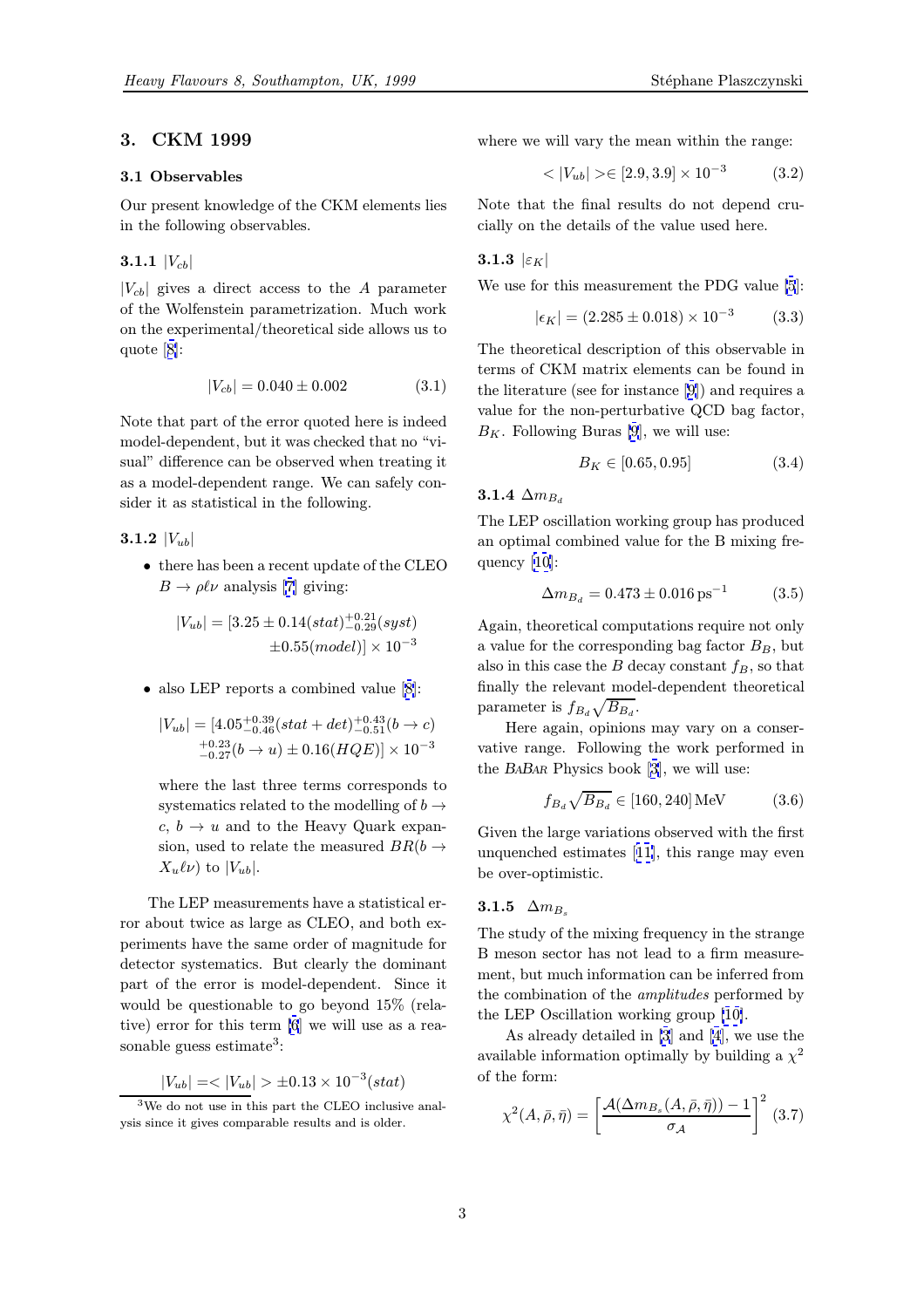# <span id="page-2-0"></span>3. CKM 1999

## 3.1 Observables

Our present knowledge of the CKM elements lies in the following observables.

## **3.1.1**  $|V_{cb}|$

 $|V_{cb}|$  gives a direct access to the A parameter of the Wolfenstein parametrization. Much work on the experimental/theoretical side allows us to quote [8]:

$$
|V_{cb}| = 0.040 \pm 0.002 \tag{3.1}
$$

Note t[ha](#page-7-0)t part of the error quoted here is indeed model-dependent, but it was checked that no "visual" difference can be observed when treating it as a model-dependent range. We can safely consider it as statistical in the following.

# 3.1.2  $|V_{ub}|$

• there has been a recent update of the CLEO  $B \to \rho \ell \nu$  analysis [7] giving:

$$
|V_{ub}| = [3.25 \pm 0.14(stat)_{-0.29}^{+0.21}(syst) \pm 0.55(model)] \times 10^{-3}
$$

• also LEP reports a combined value [8]:

$$
|V_{ub}| = [4.05^{+0.39}_{-0.46}(stat + det)^{+0.43}_{-0.51}(b \rightarrow c) \n^{+0.23}_{-0.27}(b \rightarrow u) \pm 0.16(HQE)] \times 10^{-3}
$$

where the last three terms corresponds to systematics related to the modelling of  $b \rightarrow$  $c, b \rightarrow u$  and to the Heavy Quark expansion, used to relate the measured  $BR(b \rightarrow$  $X_u\ell\nu$ ) to  $|V_{ub}|$ .

The LEP measurements have a statistical error about twice as large as CLEO, and both experiments have the same order of magnitude for detector systematics. But clearly the dominant part of the error is model-dependent. Since it would be questionable to go beyond 15% (relative) error for this term [6] we will use as a reasonable guess estimate<sup>3</sup>:

 $|V_{ub}| = \langle |V_{ub}| > \pm 0.13 \times 10^{-3} (stat)$ 

where we will vary the mean within the range:

$$
\langle |V_{ub}| \rangle \in [2.9, 3.9] \times 10^{-3} \tag{3.2}
$$

Note that the final results do not depend crucially on the details of the value used here.

# 3.1.3  $|\varepsilon_K|$

We use for this measurement the PDG value [5]:

$$
|\epsilon_K| = (2.285 \pm 0.018) \times 10^{-3} \tag{3.3}
$$

The theoretical description of this observable in terms of CKM matrix elements can be found [i](#page-7-0)n the literature (see for instance [9]) and requires a value for the non-perturbative QCD bag factor,  $B_K$ . Following Buras [9], we will use:

$$
B_K \in [0.65, 0.95] \qquad \qquad (3.4)
$$

# 3.1.4  $\Delta m_{B_d}$

The LEP oscillation w[or](#page-7-0)king group has produced an optimal combined value for the B mixing frequency [10]:

$$
\Delta m_{Ba} = 0.473 \pm 0.016 \,\text{ps}^{-1} \tag{3.5}
$$

Again, theoretical computations require not only a value f[or](#page-7-0) the corresponding bag factor  $B_B$ , but also in this case the  $B$  decay constant  $f_B$ , so that finally the relevant model-dependent theoretical parameter is  $f_{B_d} \sqrt{B_{B_d}}$ .

Here again, opinions may vary on a conservative range. Following the work performed in the BABAR Physics book [3], we will use:

$$
f_{B_d}\sqrt{B_{B_d}} \in [160, 240] \,\text{MeV} \tag{3.6}
$$

Given the large variations observed with the first unquenched estimates [1[1\],](#page-7-0) this range may even be over-optimistic.

# 3.1.5  $\Delta m_{B_s}$

The study of the mixin[g fr](#page-7-0)equency in the strange B meson sector has not lead to a firm measurement, but much information can be inferred from the combination of the amplitudes performed by the LEP Oscillation working group [10].

As already detailed in [3] and [4], we use the available information optimally by building a  $\chi^2$ of the form:

$$
\chi^2(A,\bar{\rho},\bar{\eta}) = \left[\frac{\mathcal{A}(\Delta m_{B_s}(A,\bar{\rho},\bar{\eta})) - 1}{\sigma_{\mathcal{A}}}\right]^2 (3.7)
$$

<sup>3</sup>We do not use in this pa[rt](#page-7-0) the CLEO inclusive analysis since it gives comparable results and is older.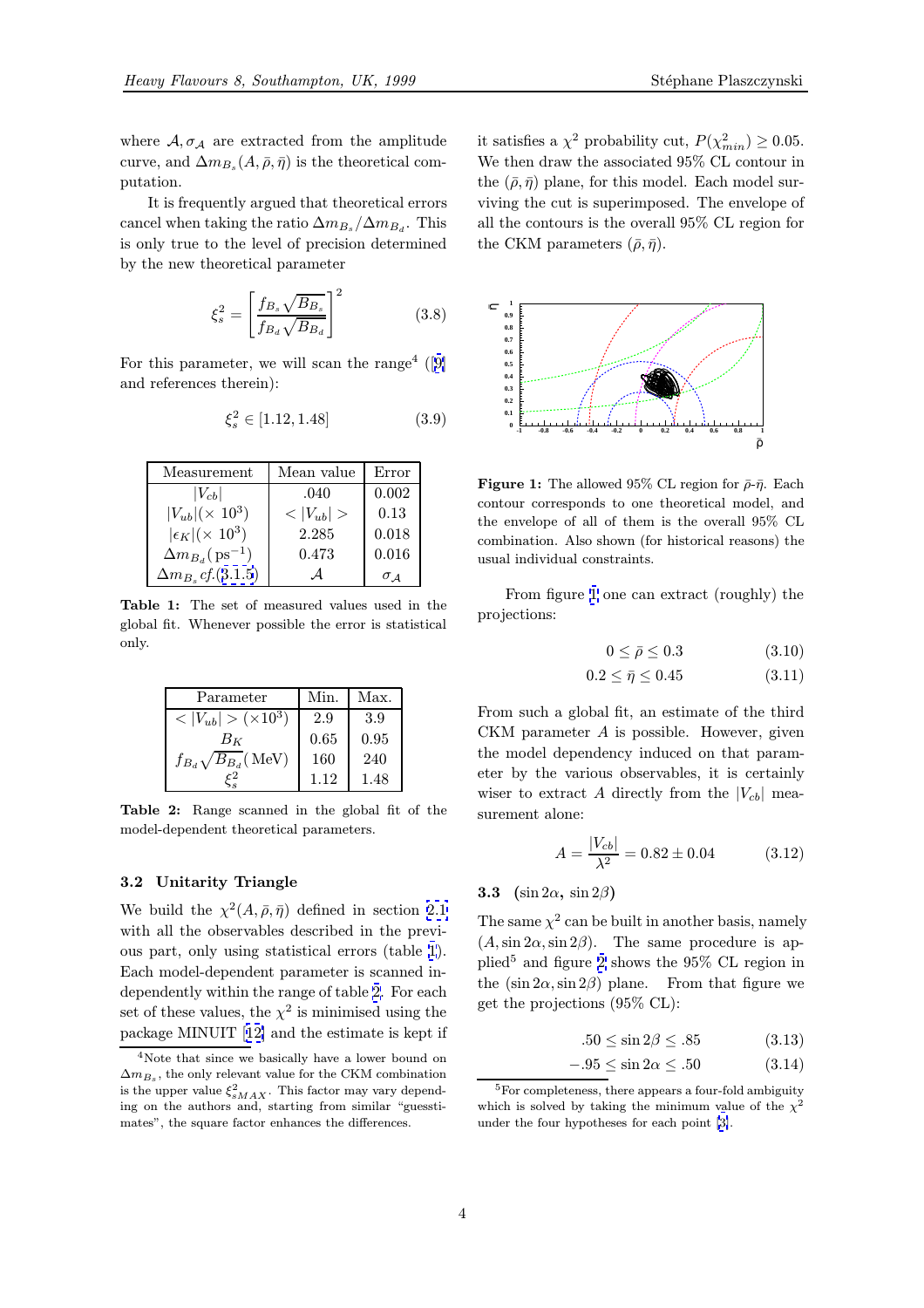where  $A, \sigma_A$  are extracted from the amplitude curve, and  $\Delta m_{B_s}(A, \bar{\rho}, {\bar{\eta}})$  is the theoretical computation.

It is frequently argued that theoretical errors cancel when taking the ratio  $\Delta m_{B_s}/\Delta m_{B_d}$ . This is only true to the level of precision determined by the new theoretical parameter

$$
\xi_s^2 = \left[\frac{f_{B_s}\sqrt{B_{B_s}}}{f_{B_d}\sqrt{B_{B_d}}}\right]^2\tag{3.8}
$$

For this parameter, we will scan the range<sup>4</sup> ([9] and references therein):

$$
\xi_s^2 \in [1.12, 1.48] \tag{3.9}
$$

| Measurement                          | Mean value         | Error         |
|--------------------------------------|--------------------|---------------|
| $ V_{cb} $                           | .040               | 0.002         |
| $ V_{ub}  (\times 10^3)$             | $<$ $ V_{ub} $ $>$ | 0.13          |
| $ \epsilon_K  (\times 10^3)$         | 2.285              | 0.018         |
| $\Delta m_{B_d}$ (ps <sup>-1</sup> ) | 0.473              | 0.016         |
| $\Delta m_{B_s} c f. (3.1.5)$        |                    | $\sigma$ $_A$ |

Table 1: The set of measured values used in the global fit. Whenever possible the error is statistical only.

| Parameter                     | Min  | Max. |
|-------------------------------|------|------|
| $<  V_{ub}  > (x 10^3)$       | 2.9  | 3.9  |
| $B_K$                         | 0.65 | 0.95 |
| $f_{B_d}\sqrt{B_{B_d}}$ (MeV) | 160  | 240  |
|                               | 1.12 | 1.48 |

Table 2: Range scanned in the global fit of the model-dependent theoretical parameters.

#### 3.2 Unitarity Triangle

We build the  $\chi^2(A,\bar{\rho},\bar{\eta})$  defined in section 2.1 with all the observables described in the previous part, only using statistical errors (table 1). Each model-dependent parameter is scanned independently within the range of table 2. For e[ach](#page-1-0) set of these values, the  $\chi^2$  is minimised using the package MINUIT [12] and the estimate is kept if

it satisfies a  $\chi^2$  probability cut,  $P(\chi^2_{min}) \ge 0.05$ . We then draw the associated 95% CL contour in the  $(\bar{\rho}, \bar{\eta})$  plane, for this model. Each model surviving the cut is superimposed. The envelope of all the contours is the overall 95% CL region for the CKM parameters  $(\bar{\rho}, \bar{\eta})$ .



**Figure 1:** The allowed 95% CL region for  $\bar{\rho}$ - $\bar{\eta}$ . Each contour corresponds to one theoretical model, and the envelope of all of them is the overall 95% CL combination. Also shown (for historical reasons) the usual individual constraints.

From figure 1 one can extract (roughly) the projections:

$$
0 \le \bar{\rho} \le 0.3 \tag{3.10}
$$

$$
0.2 \le \bar{\eta} \le 0.45 \tag{3.11}
$$

From such a global fit, an estimate of the third CKM parameter A is possible. However, given the model dependency induced on that parameter by the various observables, it is certainly wiser to extract A directly from the  $|V_{cb}|$  measurement alone:

$$
A = \frac{|V_{cb}|}{\lambda^2} = 0.82 \pm 0.04
$$
 (3.12)

#### **3.3** (sin  $2\alpha$ , sin  $2\beta$ )

The same  $\chi^2$  can be built in another basis, namely  $(A, \sin 2\alpha, \sin 2\beta)$ . The same procedure is applied<sup>5</sup> and figure 2 shows the  $95\%$  CL region in the  $(\sin 2\alpha, \sin 2\beta)$  plane. From that figure we get the projections (95% CL):

$$
.50 \le \sin 2\beta \le .85 \tag{3.13}
$$

$$
-.95 \le \sin 2\alpha \le .50 \tag{3.14}
$$

<sup>4</sup>Note that since we basically have a lower bound on  $\Delta m_{B_s}$ , the only relevant value for the CKM combination is the upper value  $\xi_{sMAX}^2$ . This factor may vary depending on the authors a[nd,](#page-7-0) starting from similar "guesstimates", the square factor enhances the differences.

<sup>&</sup>lt;sup>5</sup>For completeness, there appears a four-fold ambiguity which is solved by taking the minimum value of the  $\chi^2$ under the four hypotheses for each point [3].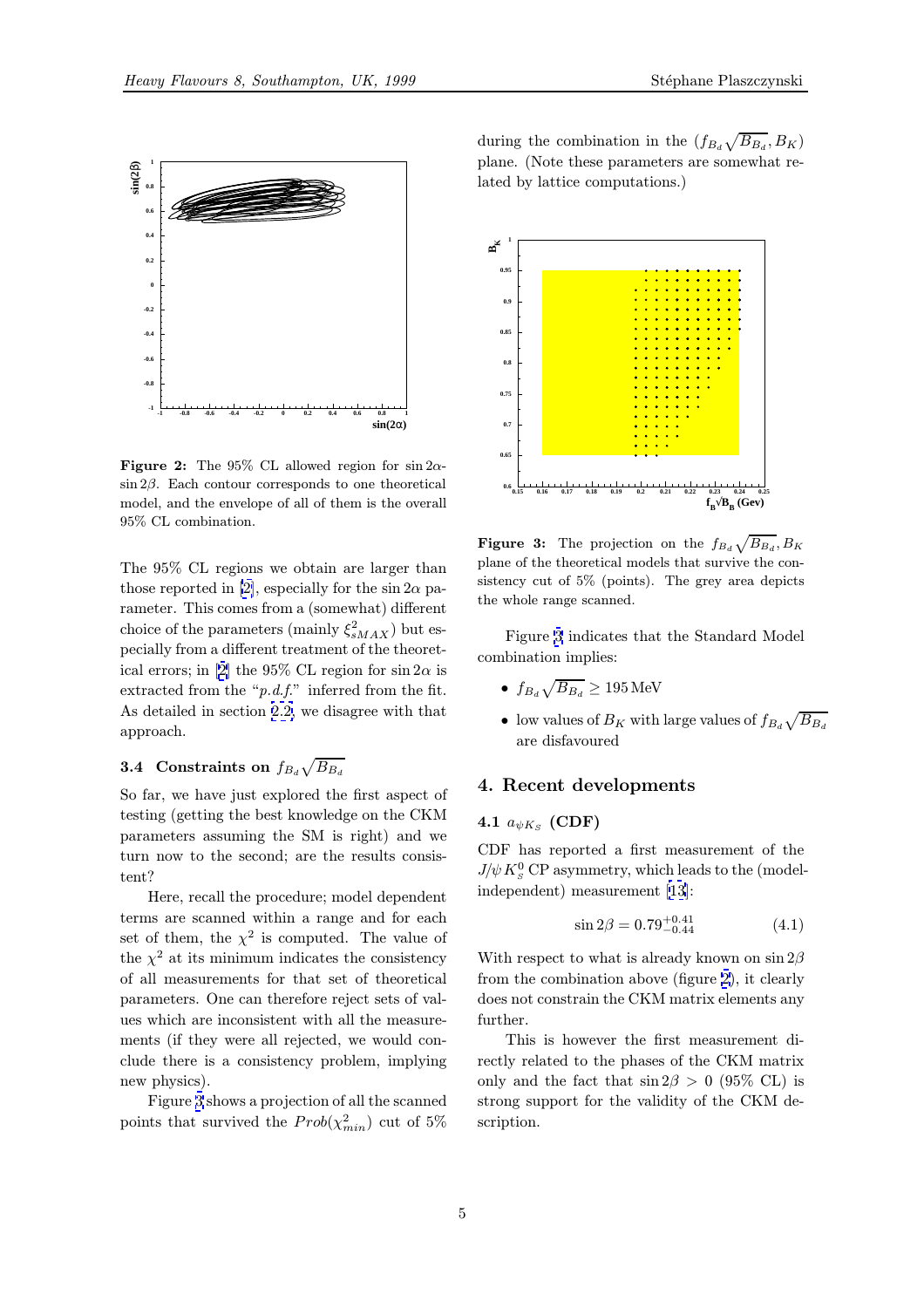<span id="page-4-0"></span>

**Figure 2:** The 95% CL allowed region for  $\sin 2\alpha$ - $\sin 2\beta$ . Each contour corresponds to one theoretical model, and the envelope of all of them is the overall 95% CL combination.

The 95% CL regions we obtain are larger than those reported in [2], especially for the sin  $2\alpha$  parameter. This comes from a (somewhat) different choice of the parameters (mainly  $\xi_{sMAX}^2$ ) but especially from a different treatment of the theoretical errors; in [2] t[he](#page-7-0) 95% CL region for  $\sin 2\alpha$  is extracted from the " $p.d.f.''$  inferred from the fit. As detailed in section 2.2, we disagree with that approach.

# **3.4** Constraints on  $f_{B_d}\sqrt{B_{B_d}}$

So far, we have just e[xplo](#page-1-0)red the first aspect of testing (getting the best knowledge on the CKM parameters assuming the SM is right) and we turn now to the second; are the results consistent?

Here, recall the procedure; model dependent terms are scanned within a range and for each set of them, the  $\chi^2$  is computed. The value of the  $\chi^2$  at its minimum indicates the consistency of all measurements for that set of theoretical parameters. One can therefore reject sets of values which are inconsistent with all the measurements (if they were all rejected, we would conclude there is a consistency problem, implying new physics).

Figure 3 shows a projection of all the scanned points that survived the  $Prob(\chi^2_{min})$  cut of 5%

during the combination in the  $(f_{B_d}\sqrt{B_{B_d}}, B_K)$ plane. (Note these parameters are somewhat related by lattice computations.)



**Figure 3:** The projection on the  $f_{BA} \sqrt{B_{BA}}$ ,  $B_K$ plane of the theoretical models that survive the consistency cut of 5% (points). The grey area depicts the whole range scanned.

Figure 3 indicates that the Standard Model combination implies:

- $f_{B_d}\sqrt{B_{B_d}} \geq 195 \,\text{MeV}$
- low values of  $B_K$  with large values of  $f_{B_d} \sqrt{B_{B_d}}$ are disfavoured

## 4. Recent developments

#### 4.1  $a_{\psi K_S}$  (CDF)

CDF has reported a first measurement of the  $J/\psi K_S^0$  CP asymmetry, which leads to the (modelindependent) measurement [13]:

$$
\sin 2\beta = 0.79_{-0.44}^{+0.41} \tag{4.1}
$$

With respect to what is alre[ady](#page-7-0) known on  $\sin 2\beta$ from the combination above (figure 2), it clearly does not constrain the CKM matrix elements any further.

This is however the first measurement directly related to the phases of the CKM matrix only and the fact that  $\sin 2\beta > 0$  (95% CL) is strong support for the validity of the CKM description.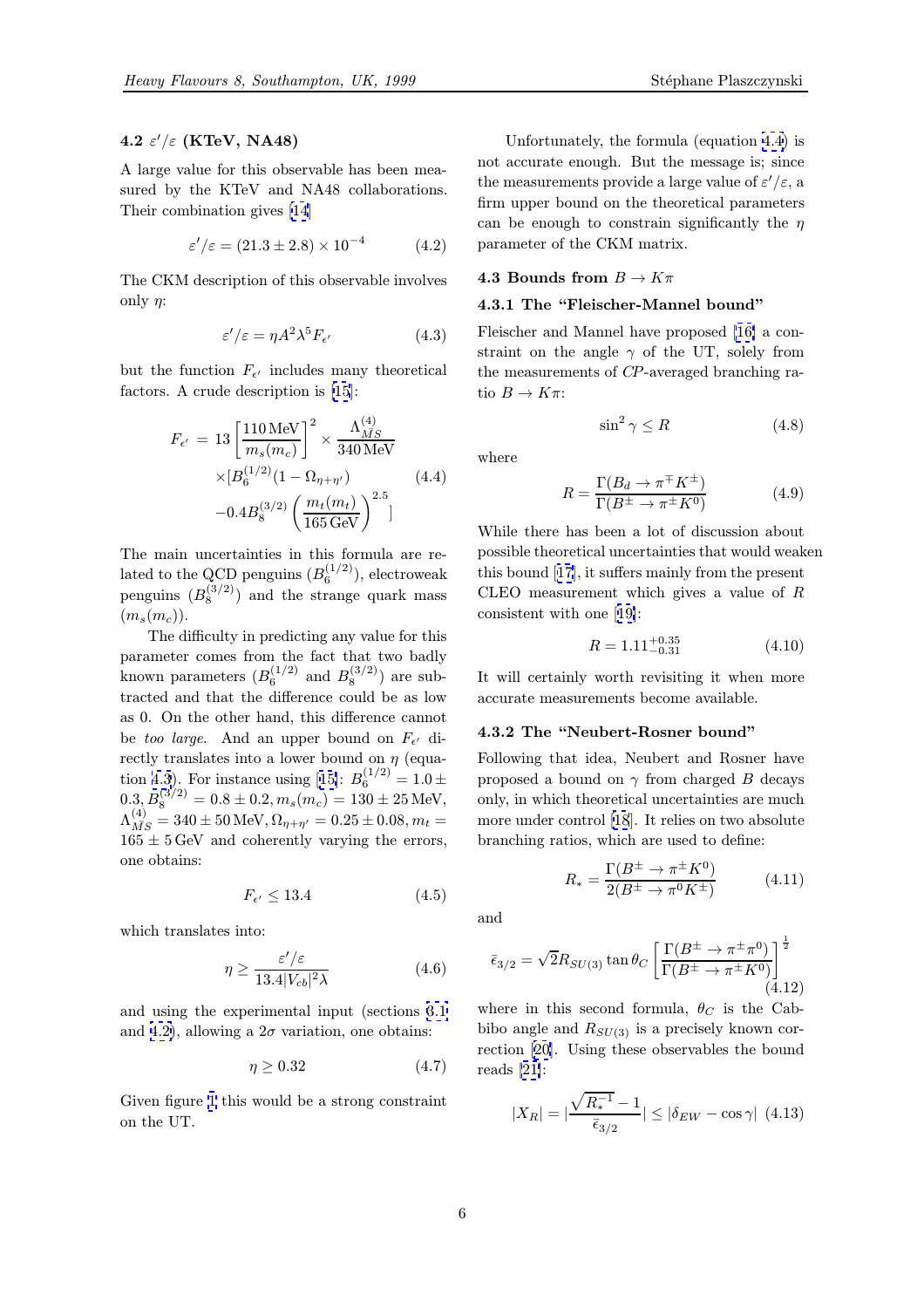# <span id="page-5-0"></span>4.2  $\varepsilon'/\varepsilon$  (KTeV, NA48)

A large value for this observable has been measured by the KTeV and NA48 collaborations. Their combination gives [14]

$$
\varepsilon'/\varepsilon = (21.3 \pm 2.8) \times 10^{-4} \tag{4.2}
$$

The CKM description of [thi](#page-7-0)s observable involves only  $\eta$ :

$$
\varepsilon'/\varepsilon = \eta A^2 \lambda^5 F_{\epsilon'}
$$
 (4.3)

but the function  $F_{\epsilon'}$  includes many theoretical factors. A crude description is [15]:

$$
F_{\epsilon'} = 13 \left[ \frac{110 \text{ MeV}}{m_s(m_c)} \right]^2 \times \frac{\Lambda_{MS}^{(4)}}{340 \text{ MeV}}
$$
  
×[ $B_6^{(1/2)}(1 - \Omega_{\eta + \eta'})$  (4.4)  
-0.4 $B_8^{(3/2)} \left( \frac{m_t(m_t)}{165 \text{ GeV}} \right)^{2.5}$ ]

The main uncertainties in this formula are related to the QCD penguins  $(B_6^{(1/2)})$ , electroweak penguins  $(B_8^{(3/2)})$  and the strange quark mass  $(m_s(m_c)).$ 

The difficulty in predicting any value for this parameter comes from the fact that two badly known parameters  $(B_6^{(1/2)}$  and  $B_8^{(3/2)}$ ) are subtracted and that the difference could be as low as 0. On the other hand, this difference cannot be too large. And an upper bound on  $F_{\epsilon'}$  directly translates into a lower bound on  $\eta$  (equation 4.3). For instance using [15]:  $B_6^{(1/2)} = 1.0 \pm 1.01$  $0.3, B_8^{(3/2)} = 0.8 \pm 0.2, m_s(m_c) = 130 \pm 25 \,\textrm{MeV},$  $\Lambda^{(4)}_{\bar{MS}}=340\pm50\,\text{MeV}, \Omega_{\eta+\eta^{\prime}}=0.25\pm0.08, m_{t}=0$  $165 \pm 5$  GeV and coherently [var](#page-7-0)ying the errors, one obtains:

$$
F_{\epsilon'} \le 13.4\tag{4.5}
$$

which translates into:

$$
\eta \ge \frac{\varepsilon'/\varepsilon}{13.4|V_{cb}|^2 \lambda} \tag{4.6}
$$

and using the experimental input (sections 3.1 and 4.2), allowing a  $2\sigma$  variation, one obtains:

$$
\eta \ge 0.32\tag{4.7}
$$

Given figure 1 this would be a strong constr[aint](#page-2-0) on the UT.

Unfortunately, the formula (equation 4.4) is not accurate enough. But the message is; since the measurements provide a large value of  $\varepsilon'/\varepsilon$ , a firm upper bound on the theoretical parameters can be enough to constrain significantly the  $\eta$ parameter of the CKM matrix.

#### 4.3 Bounds from  $B\to K\pi$

#### 4.3.1 The "Fleischer-Mannel bound"

Fleischer and Mannel have proposed [16] a constraint on the angle  $\gamma$  of the UT, solely from the measurements of CP-averaged branching ratio  $B \to K\pi$ :

where

$$
R = \frac{\Gamma(B_d \to \pi^{\mp} K^{\pm})}{\Gamma(B^{\pm} \to \pi^{\pm} K^0)}
$$
(4.9)

 $\sin^2 \gamma \le R$  (4.8)

While there has been a lot of discussion about possible theoretical uncertainties that would weaken this bound [17], it suffers mainly from the present CLEO measurement which gives a value of R consistent with one [19]:

$$
R = 1.11^{+0.35}_{-0.31} \tag{4.10}
$$

It will certainly worth revisiting it when more accurate measureme[nts](#page-7-0) become available.

#### 4.3.2 The "Neubert-Rosner bound"

Following that idea, Neubert and Rosner have proposed a bound on  $\gamma$  from charged B decays only, in which theoretical uncertainties are much more under control [18]. It relies on two absolute branching ratios, which are used to define:

$$
R_{*} = \frac{\Gamma(B^{\pm} \to \pi^{\pm} K^{0})}{2(B^{\pm} \to \pi^{0} K^{\pm})}
$$
(4.11)

and

$$
\bar{\epsilon}_{3/2} = \sqrt{2}R_{SU(3)}\tan\theta_C \left[\frac{\Gamma(B^{\pm} \to \pi^{\pm}\pi^0)}{\Gamma(B^{\pm} \to \pi^{\pm}K^0)}\right]^{\frac{1}{2}}\tag{4.12}
$$

where in this second formula,  $\theta_C$  is the Cabbibo angle and  $R_{SU(3)}$  is a precisely known correction [20]. Using these observables the bound reads [21]:

$$
|X_R| = |\frac{\sqrt{R_*^{-1}} - 1}{\bar{\epsilon}_{3/2}}| \le |\delta_{EW} - \cos \gamma| \tag{4.13}
$$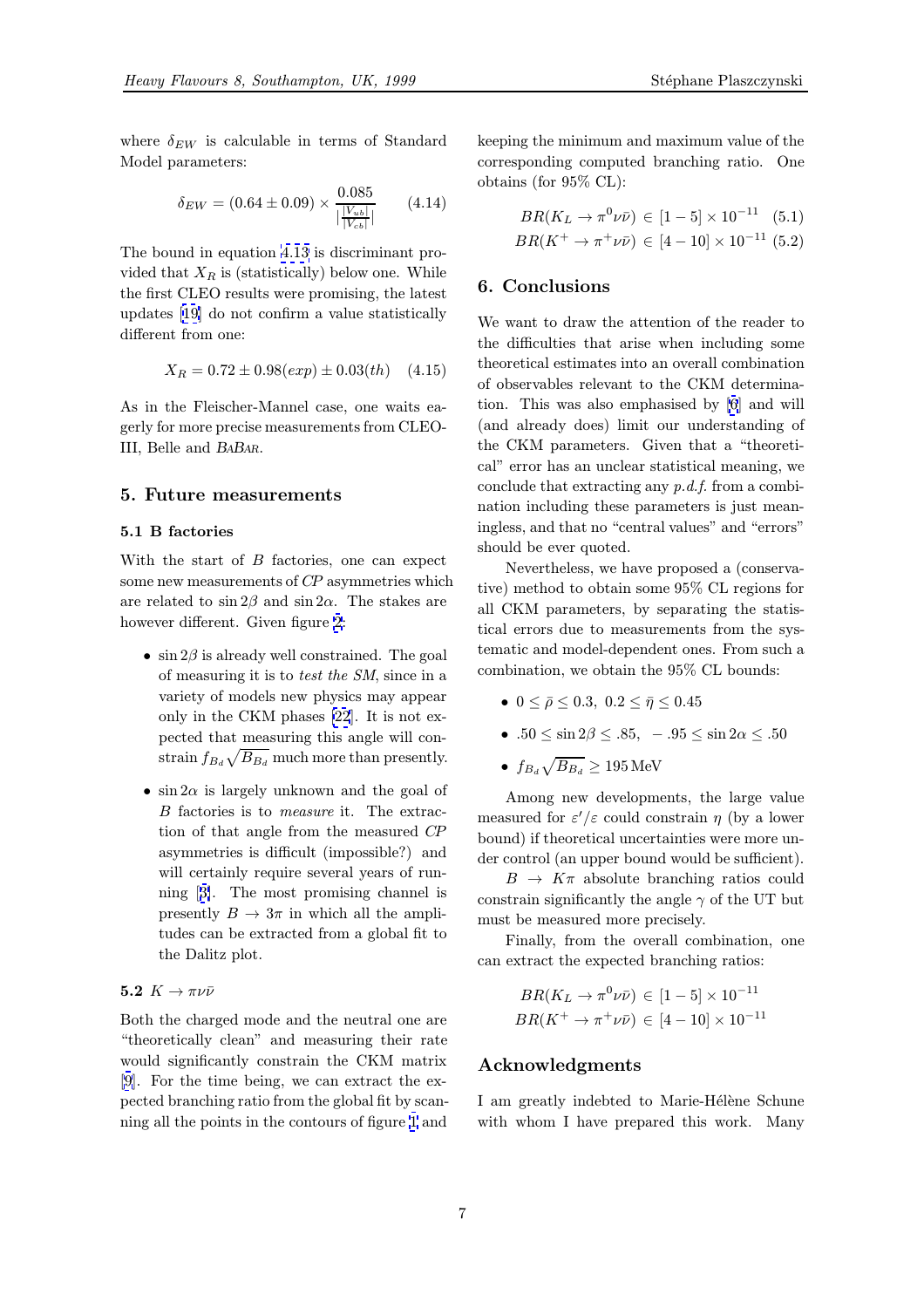<span id="page-6-0"></span>where  $\delta_{EW}$  is calculable in terms of Standard Model parameters:

$$
\delta_{EW} = (0.64 \pm 0.09) \times \frac{0.085}{|\frac{|V_{ub}|}{|V_{cb}|}|} \qquad (4.14)
$$

The bound in equation 4.13 is discriminant provided that  $X_R$  is (statistically) below one. While the first CLEO results were promising, the latest updates [19] do not co[nfirm](#page-5-0) a value statistically different from one:

$$
X_R = 0.72 \pm 0.98(exp) \pm 0.03(th) \quad (4.15)
$$

As in th[e](#page-7-0) [F](#page-7-0)leischer-Mannel case, one waits eagerly for more precise measurements from CLEO-III, Belle and BABAR.

#### 5. Future measurements

#### 5.1 B factories

With the start of B factories, one can expect some new measurements of CP asymmetries which are related to  $\sin 2\beta$  and  $\sin 2\alpha$ . The stakes are however different. Given figure 2:

- $\sin 2\beta$  is already well constrained. The goal of measuring it is to test the SM, since in a variety of models new ph[ys](#page-4-0)ics may appear only in the CKM phases [22]. It is not expected that measuring this angle will constrain  $f_{B_d} \sqrt{B_{B_d}}$  much more than presently.
- $\sin 2\alpha$  is largely unknow[n an](#page-7-0)d the goal of B factories is to measure it. The extraction of that angle from the measured CP asymmetries is difficult (impossible?) and will certainly require several years of running [3]. The most promising channel is presently  $B \to 3\pi$  in which all the amplitudes can be extracted from a global fit to the D[al](#page-7-0)itz plot.

## 5.2  $K \rightarrow \pi \nu \bar{\nu}$

Both the charged mode and the neutral one are "theoretically clean" and measuring their rate would significantly constrain the CKM matrix [9]. For the time being, we can extract the expected branching ratio from the global fit by scanning all the points in the contours of figure 1 and

keeping the minimum and maximum value of the corresponding computed branching ratio. One obtains (for 95% CL):

$$
BR(K_L \to \pi^0 \nu \bar{\nu}) \in [1-5] \times 10^{-11} \quad (5.1)
$$
  

$$
BR(K^+ \to \pi^+ \nu \bar{\nu}) \in [4-10] \times 10^{-11} \quad (5.2)
$$

### 6. Conclusions

We want to draw the attention of the reader to the difficulties that arise when including some theoretical estimates into an overall combination of observables relevant to the CKM determination. This was also emphasised by [6] and will (and already does) limit our understanding of the CKM parameters. Given that a "theoretical" error has an unclear statistical meaning, we conclude that extracting any  $p.d.f.$  fr[om](#page-7-0) a combination including these parameters is just meaningless, and that no "central values" and "errors" should be ever quoted.

Nevertheless, we have proposed a (conservative) method to obtain some 95% CL regions for all CKM parameters, by separating the statistical errors due to measurements from the systematic and model-dependent ones. From such a combination, we obtain the 95% CL bounds:

- $0 \leq \bar{\rho} \leq 0.3, 0.2 \leq \bar{\eta} \leq 0.45$
- .50  $\leq \sin 2\beta \leq .85$ ,  $-.95 \leq \sin 2\alpha \leq .50$
- $f_{B_d}\sqrt{B_{B_d}} \geq 195 \,\text{MeV}$

Among new developments, the large value measured for  $\varepsilon'/\varepsilon$  could constrain  $\eta$  (by a lower bound) if theoretical uncertainties were more under control (an upper bound would be sufficient).

 $B \to K\pi$  absolute branching ratios could constrain significantly the angle  $\gamma$  of the UT but must be measured more precisely.

Finally, from the overall combination, one can extract the expected branching ratios:

$$
BR(K_L \to \pi^0 \nu \bar{\nu}) \in [1-5] \times 10^{-11}
$$
  

$$
BR(K^+ \to \pi^+ \nu \bar{\nu}) \in [4-10] \times 10^{-11}
$$

## Acknowledgments

I am greatly indebted to Marie-Hélène Schune with whom I have prepared this work. Many